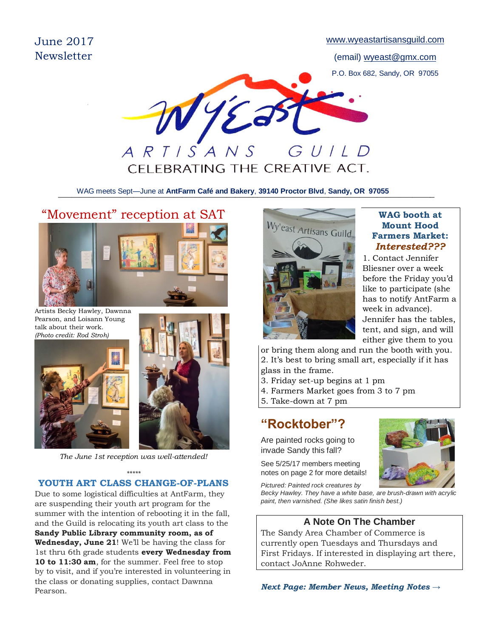June 2017 **Newsletter** 

[www.wyeastartisansguild.com](http://www.wyeastartisansguild.com/)

(email) wyeast@gmx.com P.O. Box 682, Sandy, OR 97055



\_\_\_\_\_\_\_\_\_\_\_\_\_\_\_\_\_\_\_\_\_\_\_\_\_\_\_\_\_\_\_\_\_\_\_\_\_\_\_\_\_\_\_\_\_\_\_\_\_\_\_\_\_\_\_\_\_\_\_\_\_\_\_\_\_\_\_\_\_\_\_\_\_\_\_\_\_\_\_\_\_\_\_\_\_ WAG meets Sept—June at **AntFarm Café and Bakery**, **39140 Proctor Blvd**, **Sandy, OR 97055**

# "Movement" reception at SAT

Artists Becky Hawley, Dawnna Pearson, and Loisann Young talk about their work. *(Photo credit: Rod Stroh)*





*The June 1st reception was well-attended!*

#### *\*\*\*\*\** **YOUTH ART CLASS CHANGE-OF-PLANS**

Due to some logistical difficulties at AntFarm, they are suspending their youth art program for the summer with the intention of rebooting it in the fall, and the Guild is relocating its youth art class to the **Sandy Public Library community room, as of Wednesday, June 21**! We'll be having the class for 1st thru 6th grade students **every Wednesday from 10 to 11:30 am**, for the summer. Feel free to stop by to visit, and if you're interested in volunteering in the class or donating supplies, contact Dawnna Pearson.



#### **WAG booth at Mount Hood Farmers Market:** *Interested???*

1. Contact Jennifer Bliesner over a week before the Friday you'd like to participate (she has to notify AntFarm a week in advance). Jennifer has the tables, tent, and sign, and will either give them to you

or bring them along and run the booth with you. 2. It's best to bring small art, especially if it has glass in the frame.

- 3. Friday set-up begins at 1 pm
- 4. Farmers Market goes from 3 to 7 pm
- 5. Take-down at 7 pm

## **"Rocktober"?**

Are painted rocks going to invade Sandy this fall?

See 5/25/17 members meeting notes on page 2 for more details!



*Pictured: Painted rock creatures by*

*Becky Hawley. They have a white base, are brush-drawn with acrylic paint, then varnished. (She likes satin finish best.)*

#### **A Note On The Chamber**

The Sandy Area Chamber of Commerce is currently open Tuesdays and Thursdays and First Fridays. If interested in displaying art there, contact JoAnne Rohweder.

*Next Page: Member News, Meeting Notes →*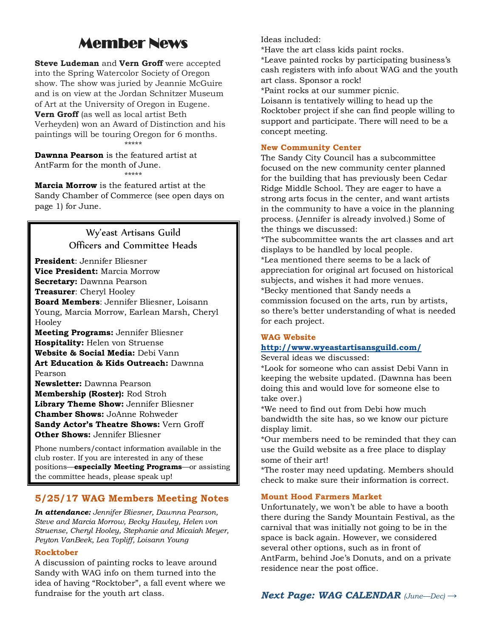# Member News

**Steve Ludeman** and **Vern Groff** were accepted into the Spring Watercolor Society of Oregon show. The show was juried by Jeannie McGuire and is on view at the Jordan Schnitzer Museum of Art at the University of Oregon in Eugene. **Vern Groff** (as well as local artist Beth Verheyden) won an Award of Distinction and his paintings will be touring Oregon for 6 months. \*\*\*\*\*

**Dawnna Pearson** is the featured artist at AntFarm for the month of June. \*\*\*\*\*

**Marcia Morrow** is the featured artist at the Sandy Chamber of Commerce (see open days on page 1) for June.

> Wy'east Artisans Guild Officers and Committee Heads

**President**: Jennifer Bliesner **Vice President:** Marcia Morrow **Secretary:** Dawnna Pearson **Treasurer**: Cheryl Hooley **Board Members**: Jennifer Bliesner, Loisann Young, Marcia Morrow, Earlean Marsh, Cheryl Hooley **Meeting Programs:** Jennifer Bliesner **Hospitality:** Helen von Struense

**Website & Social Media:** Debi Vann **Art Education & Kids Outreach:** Dawnna Pearson

**Newsletter:** Dawnna Pearson **Membership (Roster):** Rod Stroh **Library Theme Show:** Jennifer Bliesner **Chamber Shows:** JoAnne Rohweder **Sandy Actor's Theatre Shows:** Vern Groff **Other Shows:** Jennifer Bliesner

Phone numbers/contact information available in the club roster. If you are interested in any of these positions—**especially Meeting Programs**—or assisting the committee heads, please speak up!

#### **5/25/17 WAG Members Meeting Notes**

*In attendance: Jennifer Bliesner, Dawnna Pearson, Steve and Marcia Morrow, Becky Hawley, Helen von Struense, Cheryl Hooley, Stephanie and Micaiah Meyer, Peyton VanBeek, Lea Topliff, Loisann Young*

#### **Rocktober**

A discussion of painting rocks to leave around Sandy with WAG info on them turned into the idea of having "Rocktober", a fall event where we fundraise for the youth art class.

Ideas included:

\*Have the art class kids paint rocks.

\*Leave painted rocks by participating business's cash registers with info about WAG and the youth art class. Sponsor a rock!

\*Paint rocks at our summer picnic.

Loisann is tentatively willing to head up the Rocktober project if she can find people willing to support and participate. There will need to be a concept meeting.

#### **New Community Center**

The Sandy City Council has a subcommittee focused on the new community center planned for the building that has previously been Cedar Ridge Middle School. They are eager to have a strong arts focus in the center, and want artists in the community to have a voice in the planning process. (Jennifer is already involved.) Some of the things we discussed:

\*The subcommittee wants the art classes and art displays to be handled by local people. \*Lea mentioned there seems to be a lack of appreciation for original art focused on historical subjects, and wishes it had more venues. \*Becky mentioned that Sandy needs a commission focused on the arts, run by artists, so there's better understanding of what is needed for each project.

#### **WAG Website**

#### **<http://www.wyeastartisansguild.com/>**

Several ideas we discussed:

\*Look for someone who can assist Debi Vann in keeping the website updated. (Dawnna has been doing this and would love for someone else to take over.)

\*We need to find out from Debi how much bandwidth the site has, so we know our picture display limit.

\*Our members need to be reminded that they can use the Guild website as a free place to display some of their art!

\*The roster may need updating. Members should check to make sure their information is correct.

#### **Mount Hood Farmers Market**

Unfortunately, we won't be able to have a booth there during the Sandy Mountain Festival, as the carnival that was initially not going to be in the space is back again. However, we considered several other options, such as in front of AntFarm, behind Joe's Donuts, and on a private residence near the post office.

*Next Page: WAG CALENDAR (June—Dec) →*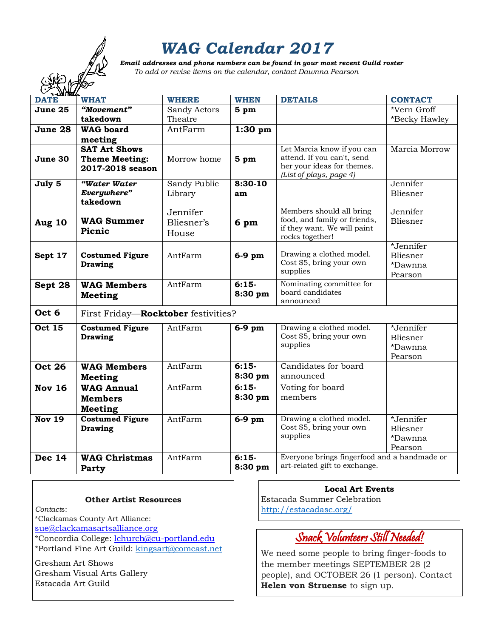# *WAG Calendar 2017*

 *Email addresses and phone numbers can be found in your most recent Guild roster To add or revise items on the calendar, contact Dawnna Pearson*

| <b>DATE</b>   | <b>WHAT</b>                         | <b>WHERE</b> | <b>WHEN</b>     | <b>DETAILS</b>                                       | <b>CONTACT</b> |
|---------------|-------------------------------------|--------------|-----------------|------------------------------------------------------|----------------|
| June 25       | "Movement"                          | Sandy Actors | 5 <sub>pm</sub> |                                                      | *Vern Groff    |
|               | takedown                            | Theatre      |                 |                                                      | *Becky Hawley  |
| June 28       | <b>WAG</b> board                    | AntFarm      | $1:30$ pm       |                                                      |                |
|               | meeting                             |              |                 |                                                      |                |
|               | <b>SAT Art Shows</b>                |              |                 | Let Marcia know if you can                           | Marcia Morrow  |
| June 30       | <b>Theme Meeting:</b>               | Morrow home  | 5 pm            | attend. If you can't, send                           |                |
|               | 2017-2018 season                    |              |                 | her your ideas for themes.                           |                |
| July 5        | "Water Water                        | Sandy Public | 8:30-10         | (List of plays, page 4)                              | Jennifer       |
|               | Everywhere"                         | Library      | am              |                                                      | Bliesner       |
|               | takedown                            |              |                 |                                                      |                |
|               |                                     | Jennifer     |                 | Members should all bring                             | Jennifer       |
| Aug 10        | <b>WAG Summer</b>                   | Bliesner's   | 6 pm            | food, and family or friends,                         | Bliesner       |
|               | Picnic                              | House        |                 | if they want. We will paint                          |                |
|               |                                     |              |                 | rocks together!                                      |                |
|               |                                     |              |                 |                                                      | *Jennifer      |
| Sept 17       | <b>Costumed Figure</b>              | AntFarm      | $6-9$ pm        | Drawing a clothed model.<br>Cost \$5, bring your own | Bliesner       |
|               | <b>Drawing</b>                      |              |                 | supplies                                             | *Dawnna        |
|               |                                     |              |                 |                                                      | Pearson        |
| Sept 28       | <b>WAG Members</b>                  | AntFarm      | $6:15-$         | Nominating committee for<br>board candidates         |                |
|               | <b>Meeting</b>                      |              | 8:30 pm         | announced                                            |                |
| Oct 6         |                                     |              |                 |                                                      |                |
|               | First Friday-Rocktober festivities? |              |                 |                                                      |                |
| <b>Oct 15</b> | <b>Costumed Figure</b>              | AntFarm      | $6-9$ pm        | Drawing a clothed model.                             | *Jennifer      |
|               | <b>Drawing</b>                      |              |                 | Cost \$5, bring your own                             | Bliesner       |
|               |                                     |              |                 | supplies                                             | *Dawnna        |
|               |                                     |              |                 |                                                      | Pearson        |
| <b>Oct 26</b> | <b>WAG Members</b>                  | AntFarm      | $6:15-$         | Candidates for board                                 |                |
|               | <b>Meeting</b>                      |              | 8:30 pm         | announced                                            |                |
| <b>Nov 16</b> | <b>WAG Annual</b>                   | AntFarm      | $6:15-$         | Voting for board                                     |                |
|               | <b>Members</b>                      |              | 8:30 pm         | members                                              |                |
|               | <b>Meeting</b>                      |              |                 |                                                      |                |
| <b>Nov 19</b> | <b>Costumed Figure</b>              | AntFarm      | $6-9$ pm        | Drawing a clothed model.                             | *Jennifer      |
|               | <b>Drawing</b>                      |              |                 | Cost \$5, bring your own                             | Bliesner       |
|               |                                     |              |                 | supplies                                             | *Dawnna        |
|               |                                     |              |                 |                                                      | Pearson        |
| <b>Dec 14</b> | <b>WAG Christmas</b>                | AntFarm      | $6:15-$         | Everyone brings fingerfood and a handmade or         |                |
|               | Party                               |              | 8:30 pm         | art-related gift to exchange.                        |                |

|  |  |  | <b>Other Artist Resources</b> |
|--|--|--|-------------------------------|
|--|--|--|-------------------------------|

*Contact*s:

\*Clackamas County Art Alliance:

[sue@clackamasartsalliance.org](mailto:sue@clackamasartsalliance.org)

\*Concordia College: [lchurch@cu-portland.edu](mailto:lchurch@cu-portland.edu) \*Portland Fine Art Guild: [kingsart@comcast.net](mailto:kingsart@comcast.net)

Gresham Art Shows Gresham Visual Arts Gallery Estacada Art Guild

#### **Local Art Events**

Estacada Summer Celebration <http://estacadasc.org/>

### Snack Volunteers Still Needed!

We need some people to bring finger-foods to the member meetings SEPTEMBER 28 (2 people), and OCTOBER 26 (1 person). Contact **Helen von Struense** to sign up.